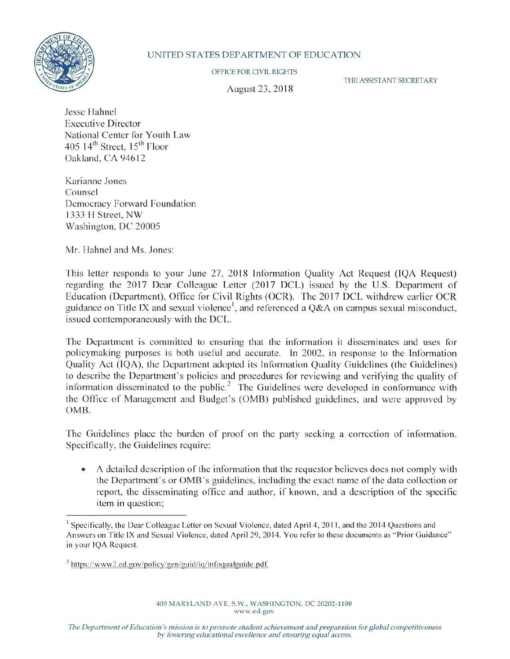

## UNITED STATES DEPARTMENT OF EDUCATION

OFFICE FOR CIVIL RIGHTS

August 23, 2018

THE ASSISTANT SECRETARY

Jesse Hahnel Executive Director National Center for Youth Law 405  $14<sup>th</sup>$  Street,  $15<sup>th</sup>$  Floor Oakland, CA 94612

Karianne Jones Counsel Democracy Forward Foundation 1333 H Street, NW Washington, DC 20005

Mr. Hahnel and Ms. Jones:

This letter responds to your June 27, 2018 Information Quality Act Request ([QA Request) regarding the 2017 Dear Colleague Letter (2017 DCL) issued by the U.S. Department of Education (Department), Office for Civil Rights (OCR). The 2017 DCL withdrew earlier OCR guidance on Title IX and sexual violence<sup>1</sup>, and referenced a Q&A on campus sexual misconduct, issued contemporaneously with the DCL.

The Department is committed to ensuring that the infonnation it disseminates and uses for policymaking purposes is both useful and accurate. In 2002, in response to the Information Quality Act (IQA), the Department adopted its Information Quality Guidelines (the Guidelines) to describe the Department's policies and procedures for reviewing and verifying the quality of information disseminated to the public.<sup>2</sup> The Guidelines were developed in conformance with the Office of Management and Budget's (OMB) published guidelines, and were approved by 0MB.

The Guidelines place the burden of proof on the party seeking a correction of information. Specifically, the Guidelines require:

• A detailed description of the information that the requestor believes does not comply with the Department's or 0MB's guidelines, including the exact name of the data collection or report, the disseminating office and author, if known, and a description of the specific item in question;

<sup>&</sup>lt;sup>1</sup> Specifically, the Dear Colleague Letter on Sexual Violence, dated April 4, 2011, and the 2014 Questions and Answers on Title IX and Sexual Violence, dated April 29, 2014. You refer to these documents as " Prior Guidance" in your IQA Request.

 $2$  https://www2.ed.gov/policy/gen/guid/iq/infoqualguide.pdf.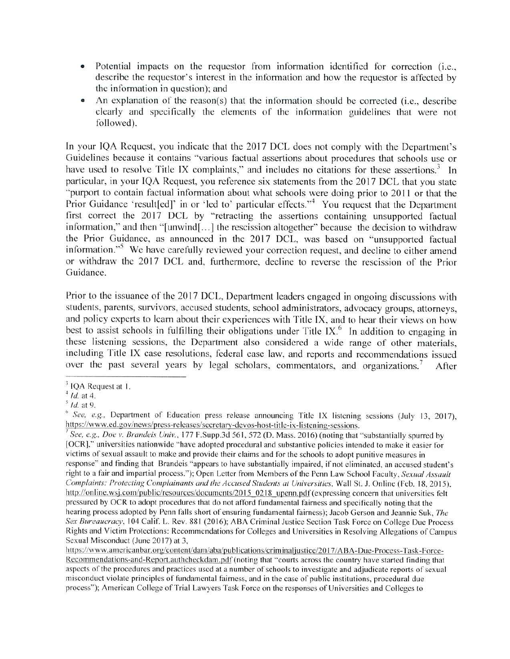- Potential impacts on the requestor from information identified for correction (i.e., describe the requcstor's interest in the information and how the requestor is affected by the information in question); and
- An explanation of the reason(s) that the information should be corrected (i.e., describe clearly and specifically the elements of the information guidelines that were not followed).

In your !QA Request, you indicate that the 2017 DCL does not comply with the Department's Guidelines because it contains "various factual assertions about procedures that schools use or have used to resolve Title IX complaints," and includes no citations for these assertions.<sup>3</sup> In particular, in your IQA Request, you reference six statements from the 2017 DCL that you state " purport to contain factual information about what schools were doing prior to 2011 or that the Prior Guidance 'result[ed]' in or 'led to' particular effects."<sup>4</sup> You request that the Department first correct the 2017 DCL by "retracting the assertions containing unsupported factual information," and then "[unwind[...] the rescission altogether" because the decision to withdraw the Prior Guidance, as announced in the 2017 DCL, was based on "unsupported factual information."<sup>5</sup> We have carefully reviewed your correction request, and decline to either amend or withdraw the 2017 DCL and, furthermore, decline to reverse the rescission of the Prior Guidance.

Prior to the issuance of the 2017 DCL, Department leaders engaged in ongoing discussions with students, parents, survivors, accused students, school administrators, advocacy groups, attorneys, and policy experts to learn about their experiences with Title IX, and to hear their views on how best to assist schools in fulfilling their obligations under Title IX.<sup>6</sup> In addition to engaging in these listening sessions, the Department also considered a wide range of other materials, including Title IX case resolutions, federal case law, and reports and recommendations issued over the past several years by legal scholars, commentators, and organizations.<sup>7</sup> After

<sup>&</sup>lt;sup>3</sup> IQA Request at 1.

 $^{4}$  *Id.* at 4.<br> $^{5}$  *Id.* at 9.

<sup>&</sup>lt;sup>6</sup> See, e.g., Department of Education press release announcing Title IX listening sessions (July 13, 2017), https://www.ed.gov/news/press-releases/secretary-devos-host-title-ix-listening-sessions.<br><sup>7</sup> See, e.g., Doe v. Brandeis Univ., 177 F.Supp.3d 561, 572 (D. Mass. 2016) (noting that "substantially spurred by

<sup>[</sup>OCR]," universities nationwide "have adopted procedural and substantive policies intended to make it easier for victims of sexual assault to make and provide their claims and for the schools *to* adopt punitive measures in response" and finding that Brandeis "appears to have substantially impaired, if not eliminated, an accused student's right to a fair and impartial process."); Open Letter from Members ofthe Penn Law School Faculty, *Sexual Assault Complaints: Protecting Complainants and the Accused Students at Universities, Wall St. J. Online (Feb. 18, 2015),* http://online.wsj.com/public/resources/documents/2015 0218 upenn.pdf (expressing concern that universities felt pressured by OCR to adopt procedures that do not alford fundamental fairness and specifically noting that the hearing process adopted by Penn falls short of ensuring fundamental fairness); Jacob Gerson and Jeannie Suk, *The Sex Bureaucracy*, 104 Calif. L. Rev. 881 (2016); ABA Criminal Justice Section Task Force on College Due Process Rights and Victim Protections: Recommendations for Colleges and Universities in Resolving Allegations ofCampus Sexual Misconduct (June 2017) at 3,

https://www.americanbar.org/content/dam/aba/publications/criminal justice/2017/ABA-Due-Process-Task-Force-Recommendations-and-Report.authcheckdam.pdf (noting that "courts across the country have started finding that aspects of the procedures and practices used at a number of schools to investigate and adjudicate reports of sexual misconduct violate principles of fundamental fairness, and in the case of public institutions, procedural due process"); American College of Trial Lawyers Task Force on the responses of Universities and Colleges to